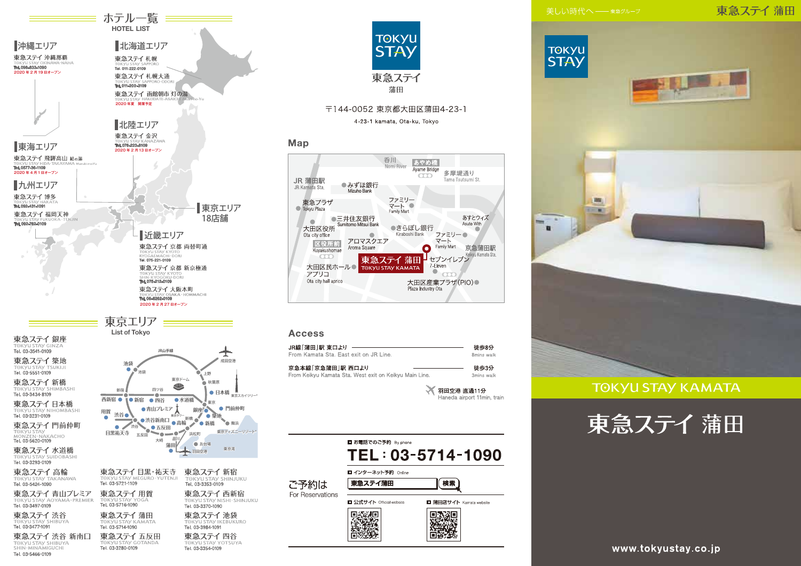## 東急ステイ蒲田



HIS.I



**TOKYU STAY KAMATA** 





Tel. 03-3280-0109

Tel. 03-3354-0109

TOKYU STAY SHIBUYA

Tel. 03-5466-0109



Map

JR 蒲田駅

JR Kamata Sta

lokyu Plaza

 $\sqrt{2}$ 

東急プラザ

大田区役所

区役所前

Kuyakushomae

-coo

Ota city hall aprico

JR線「蒲田 |駅 東口より -

京急本線「京急蒲田|駅 西口より

From Kamata Sta, East exit on JR Line.

From Keikyu Kamata Sta. West exit on Keikyu Main Line.

大田区民ホール●

Ota city office

アプリコ

**Access** 



**TOKYU** 

**STAY** 

東急ステイ

蒲田

〒144-0052 東京都大田区蒲田4-23-1 4-23-1 kamata, Ota-ku, Tokyo

呑川

●みずほ銀行

Mizubo Bank

●三井住友銀行

Sumitomo Mitsui Bank

Aroma Square

 $\sim$ アロマスクエア

Nomi River

ファミリー

 $\overline{\mathbf{x}-\mathbf{k}}$ 

●きらぼし銀行

Kiraboshi Bank

Family Mart

東急ステイ蒲田

**TOKYU STAY KAMATA** 

あやめ橋

Ayame Bridge

 $\overline{\text{CD}}$ 

Ω

Plaza Industry Ota

多摩堤通り

ファミリー●

マート

7-Eleven

 $\ddot{\phantom{1}}$ 

Family Mart

■セブンイレブジ

大田区産業プラザ(PIO)●

Tama Tsutsumi St.

あすとウィズ

 $\sqrt{2}$ 

京急蒲田駅

Keikyu Kamata Sta.

徒歩8分

8mins walk

徒歩3分

3mins walk

₩ 羽田空港 直通11分

Haneda airport 11min, train

Asuto With

www.tokyustay.co.jp